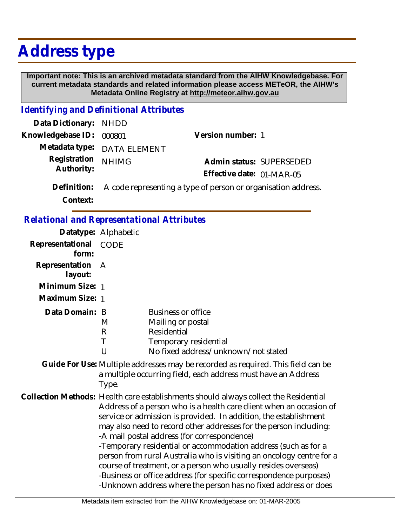## **Address type**

 **Important note: This is an archived metadata standard from the AIHW Knowledgebase. For current metadata standards and related information please access METeOR, the AIHW's Metadata Online Registry at http://meteor.aihw.gov.au**

## *Identifying and Definitional Attributes*

| Data Dictionary: NHDD    |                                                                           |                           |                          |
|--------------------------|---------------------------------------------------------------------------|---------------------------|--------------------------|
| Knowledgebase ID: 000801 |                                                                           | Version number: 1         |                          |
|                          | Metadata type: DATA ELEMENT                                               |                           |                          |
| Registration NHIMG       |                                                                           |                           | Admin status: SUPERSEDED |
| Authority:               |                                                                           | Effective date: 01-MAR-05 |                          |
|                          | Definition: A code representing a type of person or organisation address. |                           |                          |

**Context:**

| <b>Relational and Representational Attributes</b> |
|---------------------------------------------------|
|                                                   |

|                           | Datatype: Alphabetic |                                                                                                                                                                                                                                                                                                                                                                                                                                                                                                                                                                                                                                                                                                         |
|---------------------------|----------------------|---------------------------------------------------------------------------------------------------------------------------------------------------------------------------------------------------------------------------------------------------------------------------------------------------------------------------------------------------------------------------------------------------------------------------------------------------------------------------------------------------------------------------------------------------------------------------------------------------------------------------------------------------------------------------------------------------------|
| Representational<br>form: | CODE                 |                                                                                                                                                                                                                                                                                                                                                                                                                                                                                                                                                                                                                                                                                                         |
| Representation<br>layout: | $\mathsf{A}$         |                                                                                                                                                                                                                                                                                                                                                                                                                                                                                                                                                                                                                                                                                                         |
| Minimum Size: 1           |                      |                                                                                                                                                                                                                                                                                                                                                                                                                                                                                                                                                                                                                                                                                                         |
| Maximum Size: 1           |                      |                                                                                                                                                                                                                                                                                                                                                                                                                                                                                                                                                                                                                                                                                                         |
| Data Domain: B            | M<br>R<br>Τ<br>U     | <b>Business or office</b><br>Mailing or postal<br>Residential<br>Temporary residential<br>No fixed address/unknown/not stated                                                                                                                                                                                                                                                                                                                                                                                                                                                                                                                                                                           |
|                           | Type.                | Guide For Use: Multiple addresses may be recorded as required. This field can be<br>a multiple occurring field, each address must have an Address                                                                                                                                                                                                                                                                                                                                                                                                                                                                                                                                                       |
|                           |                      | Collection Methods: Health care establishments should always collect the Residential<br>Address of a person who is a health care client when an occasion of<br>service or admission is provided. In addition, the establishment<br>may also need to record other addresses for the person including:<br>-A mail postal address (for correspondence)<br>-Temporary residential or accommodation address (such as for a<br>person from rural Australia who is visiting an oncology centre for a<br>course of treatment, or a person who usually resides overseas)<br>-Business or office address (for specific correspondence purposes)<br>-Unknown address where the person has no fixed address or does |